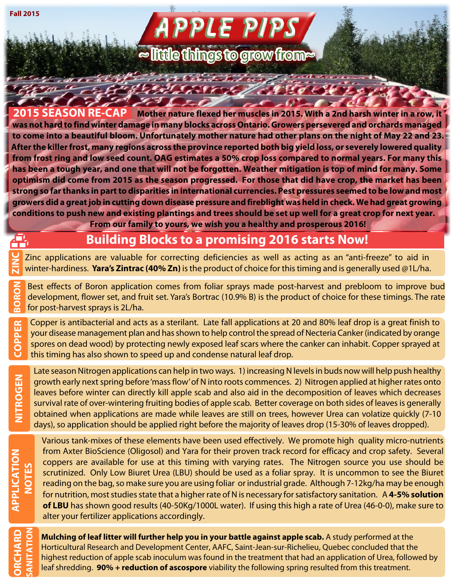**Fall 2015**

 $\tau_{\alpha}$ 

# **APPLE PIPS**

**≈ little things to grow from~** 

the leaders and death

Alexandra Charles Charles

**2015 SEASON RE-CAP Mother nature flexed her muscles in 2015. With a 2nd harsh winter in a row, it was not hard to find winter damage in many blocks across Ontario. Growers persevered and orchards managed to come into a beautiful bloom. Unfortunately mother nature had other plans on the night of May 22 and 23. After the killer frost, many regions across the province reported both big yield loss, or severely lowered quality from frost ring and low seed count. OAG estimates a 50% crop loss compared to normal years. For many this has been a tough year, and one that will not be forgotten. Weather mitigation is top of mind for many. Some optimism did come from 2015 as the season progressed. For those that did have crop, the market has been strong so far thanks in part to disparities in international currencies. Pest pressures seemed to be low and most growers did a great job in cutting down disease pressure and fireblight was held in check. We had great growing conditions to push new and existing plantings and trees should be set up well for a great crop for next year. From our family to yours, we wish you a healthy and prosperous 2016!**

### **Building Blocks to a promising 2016 starts Now!**

Zinc applications are valuable for correcting deficiencies as well as acting as an "anti-freeze" to aid in winter-hardiness. **Yara's Zintrac (40% Zn)** is the product of choice for this timing and is generally used @1L/ha. **ZINC**

Best effects of Boron application comes from foliar sprays made post-harvest and prebloom to improve bud development, flower set, and fruit set. Yara's Bortrac (10.9% B) is the product of choice for these timings. The rate **BORON** for post-harvest sprays is 2L/ha.

Copper is antibacterial and acts as a sterilant. Late fall applications at 20 and 80% leaf drop is a great finish to your disease management plan and has shown to help control the spread of Necteria Canker (indicated by orange spores on dead wood) by protecting newly exposed leaf scars where the canker can inhabit. Copper sprayed at this timing has also shown to speed up and condense natural leaf drop. **COPPER**

Late season Nitrogen applications can help in two ways. 1) increasing N levels in buds now will help push healthy

**NITROGEN**

 $\tilde{\mathbf{r}}_i$ 

**ORCHARD SANITATION**

growth early next spring before 'mass flow' of N into roots commences. 2) Nitrogen applied at higher rates onto leaves before winter can directly kill apple scab and also aid in the decomposition of leaves which decreases survival rate of over-wintering fruiting bodies of apple scab. Better coverage on both sides of leaves is generally obtained when applications are made while leaves are still on trees, however Urea can volatize quickly (7-10 days), so application should be applied right before the majority of leaves drop (15-30% of leaves dropped). Various tank-mixes of these elements have been used effectively. We promote high quality micro-nutrients

from Axter BioScience (Oligosol) and Yara for their proven track record for efficacy and crop safety. Several coppers are available for use at this timing with varying rates. The Nitrogen source you use should be scrutinized. Only Low Biuret Urea (LBU) should be used as a foliar spray. It is uncommon to see the Biuret reading on the bag, so make sure you are using foliar or industrial grade. Although 7-12kg/ha may be enough for nutrition, most studies state that a higher rate of N is necessary for satisfactory sanitation. A **4-5% solution of LBU** has shown good results (40-50Kg/1000L water). If using this high a rate of Urea (46-0-0), make sure to alter your fertilizer applications accordingly.

**Mulching of leaf litter will further help you in your battle against apple scab.** A study performed at the Horticultural Research and Development Center, AAFC, Saint-Jean-sur-Richelieu, Quebec concluded that the highest reduction of apple scab inoculum was found in the treatment that had an application of Urea, followed by leaf shredding. **90% + reduction of ascospore** viability the following spring resulted from this treatment.